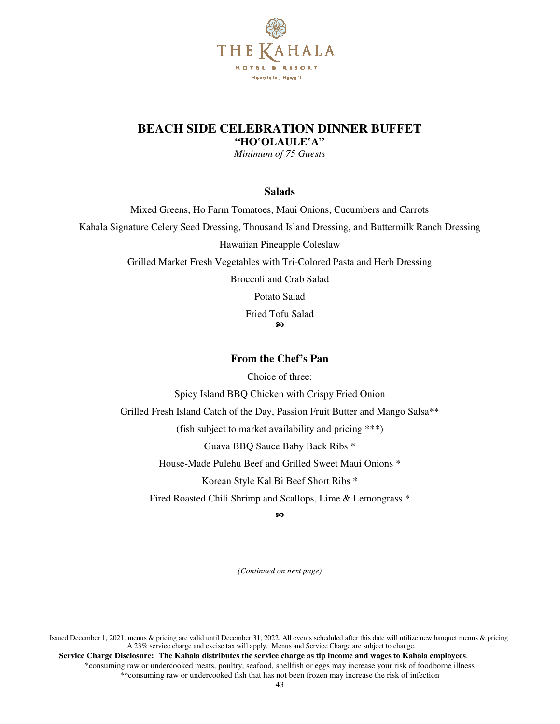

### **BEACH SIDE CELEBRATION DINNER BUFFET "HO**'**OLAULE**'**A"**

*Minimum of 75 Guests* 

**Salads** 

Mixed Greens, Ho Farm Tomatoes, Maui Onions, Cucumbers and Carrots Kahala Signature Celery Seed Dressing, Thousand Island Dressing, and Buttermilk Ranch Dressing Hawaiian Pineapple Coleslaw Grilled Market Fresh Vegetables with Tri-Colored Pasta and Herb Dressing Broccoli and Crab Salad Potato Salad Fried Tofu Salad ഩ

**From the Chef's Pan** 

Choice of three:

Spicy Island BBQ Chicken with Crispy Fried Onion

Grilled Fresh Island Catch of the Day, Passion Fruit Butter and Mango Salsa\*\*

(fish subject to market availability and pricing \*\*\*)

Guava BBQ Sauce Baby Back Ribs \*

House-Made Pulehu Beef and Grilled Sweet Maui Onions \*

Korean Style Kal Bi Beef Short Ribs \*

Fired Roasted Chili Shrimp and Scallops, Lime & Lemongrass \*

ၷ

*(Continued on next page)*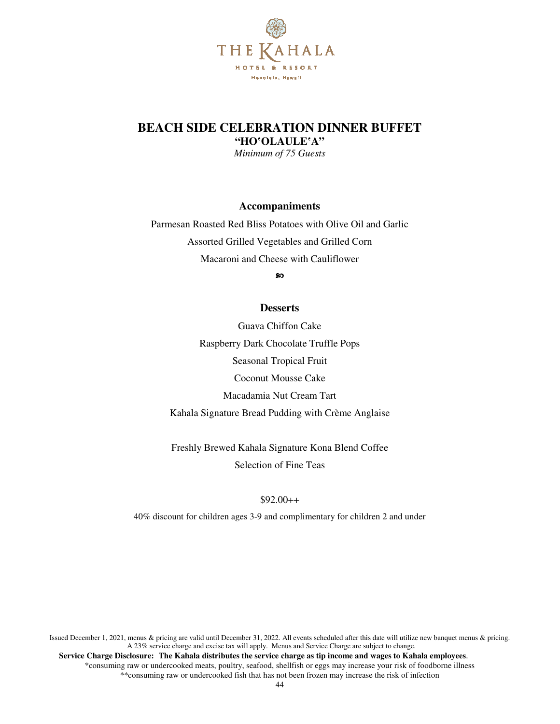

## **BEACH SIDE CELEBRATION DINNER BUFFET "HO**'**OLAULE**'**A"**

*Minimum of 75 Guests*

**Accompaniments** 

Parmesan Roasted Red Bliss Potatoes with Olive Oil and Garlic Assorted Grilled Vegetables and Grilled Corn Macaroni and Cheese with Cauliflower

အ

### **Desserts**

Guava Chiffon Cake Raspberry Dark Chocolate Truffle Pops Seasonal Tropical Fruit Coconut Mousse Cake Macadamia Nut Cream Tart Kahala Signature Bread Pudding with Crème Anglaise

Freshly Brewed Kahala Signature Kona Blend Coffee Selection of Fine Teas

### $$92.00++$

40% discount for children ages 3-9 and complimentary for children 2 and under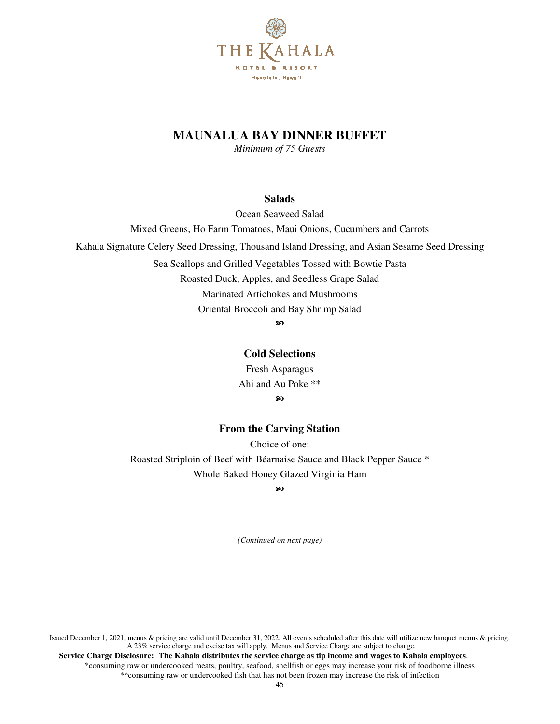

# **MAUNALUA BAY DINNER BUFFET**

*Minimum of 75 Guests* 

### **Salads**

Ocean Seaweed Salad

Mixed Greens, Ho Farm Tomatoes, Maui Onions, Cucumbers and Carrots

Kahala Signature Celery Seed Dressing, Thousand Island Dressing, and Asian Sesame Seed Dressing

Sea Scallops and Grilled Vegetables Tossed with Bowtie Pasta

Roasted Duck, Apples, and Seedless Grape Salad

Marinated Artichokes and Mushrooms

Oriental Broccoli and Bay Shrimp Salad

ဢ

### **Cold Selections**

Fresh Asparagus Ahi and Au Poke \*\* ၷ

### **From the Carving Station**

Choice of one: Roasted Striploin of Beef with Béarnaise Sauce and Black Pepper Sauce \* Whole Baked Honey Glazed Virginia Ham

ഹ

*(Continued on next page)*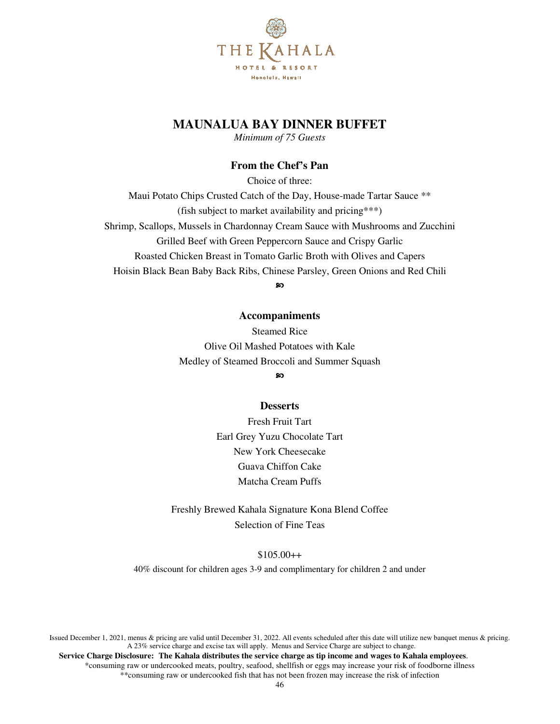

# **MAUNALUA BAY DINNER BUFFET**

*Minimum of 75 Guests* 

### **From the Chef's Pan**

Choice of three: Maui Potato Chips Crusted Catch of the Day, House-made Tartar Sauce \*\* (fish subject to market availability and pricing\*\*\*) Shrimp, Scallops, Mussels in Chardonnay Cream Sauce with Mushrooms and Zucchini Grilled Beef with Green Peppercorn Sauce and Crispy Garlic Roasted Chicken Breast in Tomato Garlic Broth with Olives and Capers Hoisin Black Bean Baby Back Ribs, Chinese Parsley, Green Onions and Red Chili

ၷ

### **Accompaniments**

Steamed Rice Olive Oil Mashed Potatoes with Kale Medley of Steamed Broccoli and Summer Squash

ഩ

#### **Desserts**

Fresh Fruit Tart Earl Grey Yuzu Chocolate Tart New York Cheesecake Guava Chiffon Cake Matcha Cream Puffs

Freshly Brewed Kahala Signature Kona Blend Coffee Selection of Fine Teas

\$105.00++

40% discount for children ages 3-9 and complimentary for children 2 and under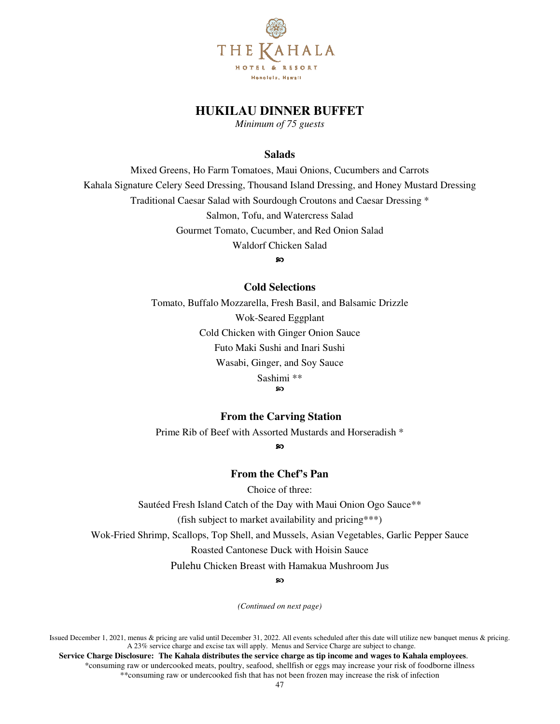

## **HUKILAU DINNER BUFFET**

*Minimum of 75 guests* 

#### **Salads**

Mixed Greens, Ho Farm Tomatoes, Maui Onions, Cucumbers and Carrots Kahala Signature Celery Seed Dressing, Thousand Island Dressing, and Honey Mustard Dressing Traditional Caesar Salad with Sourdough Croutons and Caesar Dressing \* Salmon, Tofu, and Watercress Salad Gourmet Tomato, Cucumber, and Red Onion Salad Waldorf Chicken Salad

ഩ

#### **Cold Selections**

Tomato, Buffalo Mozzarella, Fresh Basil, and Balsamic Drizzle Wok-Seared Eggplant Cold Chicken with Ginger Onion Sauce Futo Maki Sushi and Inari Sushi Wasabi, Ginger, and Soy Sauce Sashimi \*\*

စာ

### **From the Carving Station**

Prime Rib of Beef with Assorted Mustards and Horseradish \*

ၷ

### **From the Chef's Pan**

Choice of three:

Sautéed Fresh Island Catch of the Day with Maui Onion Ogo Sauce\*\*

(fish subject to market availability and pricing\*\*\*)

Wok-Fried Shrimp, Scallops, Top Shell, and Mussels, Asian Vegetables, Garlic Pepper Sauce

Roasted Cantonese Duck with Hoisin Sauce

Pulehu Chicken Breast with Hamakua Mushroom Jus

ഩ

*(Continued on next page)* 

Issued December 1, 2021, menus & pricing are valid until December 31, 2022. All events scheduled after this date will utilize new banquet menus & pricing. A 23% service charge and excise tax will apply. Menus and Service Charge are subject to change.

 **Service Charge Disclosure: The Kahala distributes the service charge as tip income and wages to Kahala employees**. \*consuming raw or undercooked meats, poultry, seafood, shellfish or eggs may increase your risk of foodborne illness \*\*consuming raw or undercooked fish that has not been frozen may increase the risk of infection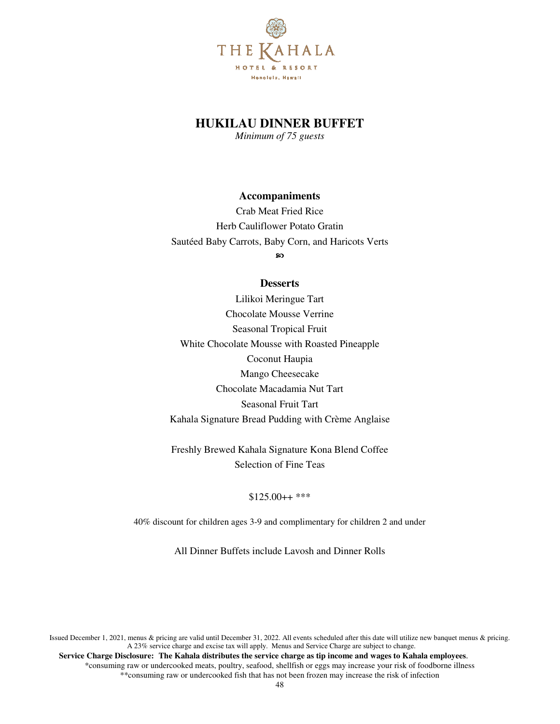

## **HUKILAU DINNER BUFFET**

*Minimum of 75 guests* 

### **Accompaniments**

Crab Meat Fried Rice Herb Cauliflower Potato Gratin Sautéed Baby Carrots, Baby Corn, and Haricots Verts

စာ

### **Desserts**

Lilikoi Meringue Tart Chocolate Mousse Verrine Seasonal Tropical Fruit White Chocolate Mousse with Roasted Pineapple Coconut Haupia Mango Cheesecake Chocolate Macadamia Nut Tart Seasonal Fruit Tart Kahala Signature Bread Pudding with Crème Anglaise

Freshly Brewed Kahala Signature Kona Blend Coffee Selection of Fine Teas

### \$125.00++ \*\*\*

40% discount for children ages 3-9 and complimentary for children 2 and under

All Dinner Buffets include Lavosh and Dinner Rolls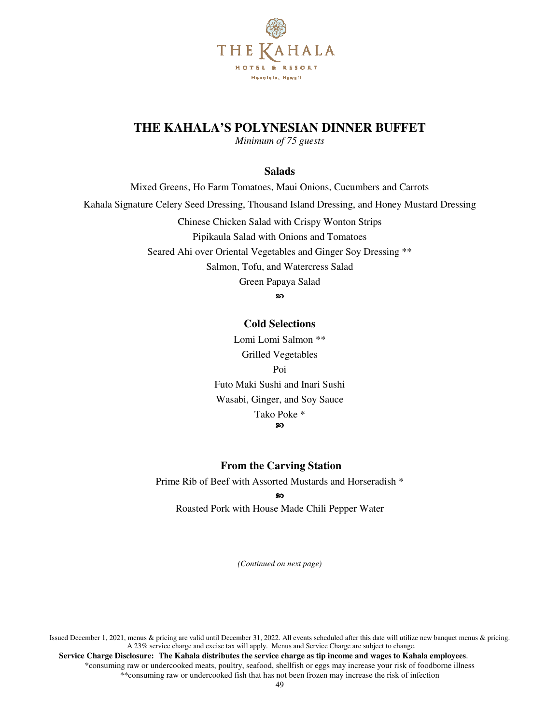

# **THE KAHALA'S POLYNESIAN DINNER BUFFET**

*Minimum of 75 guests* 

### **Salads**

Mixed Greens, Ho Farm Tomatoes, Maui Onions, Cucumbers and Carrots Kahala Signature Celery Seed Dressing, Thousand Island Dressing, and Honey Mustard Dressing Chinese Chicken Salad with Crispy Wonton Strips Pipikaula Salad with Onions and Tomatoes Seared Ahi over Oriental Vegetables and Ginger Soy Dressing \*\* Salmon, Tofu, and Watercress Salad Green Papaya Salad ဢ

### **Cold Selections**

Lomi Lomi Salmon \*\* Grilled Vegetables Poi Futo Maki Sushi and Inari Sushi Wasabi, Ginger, and Soy Sauce Tako Poke \* ဢ

### **From the Carving Station**

Prime Rib of Beef with Assorted Mustards and Horseradish \*

#### <u>ର</u>

Roasted Pork with House Made Chili Pepper Water

*(Continued on next page)* 

Issued December 1, 2021, menus & pricing are valid until December 31, 2022. All events scheduled after this date will utilize new banquet menus & pricing. A 23% service charge and excise tax will apply. Menus and Service Charge are subject to change.  **Service Charge Disclosure: The Kahala distributes the service charge as tip income and wages to Kahala employees**. \*consuming raw or undercooked meats, poultry, seafood, shellfish or eggs may increase your risk of foodborne illness

\*\*consuming raw or undercooked fish that has not been frozen may increase the risk of infection